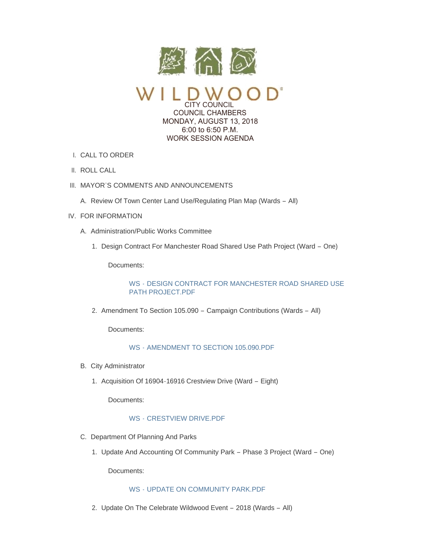

CITY COUNCIL COUNCIL CHAMBERS MONDAY, AUGUST 13, 2018 6:00 to 6:50 P.M. WORK SESSION AGENDA

- CALL TO ORDER I.
- II. ROLL CALL
- III. MAYOR'S COMMENTS AND ANNOUNCEMENTS
	- A. Review Of Town Center Land Use/Regulating Plan Map (Wards All)
- IV. FOR INFORMATION
	- A. Administration/Public Works Committee
		- 1. Design Contract For Manchester Road Shared Use Path Project (Ward One)

Documents:

WS - [DESIGN CONTRACT FOR MANCHESTER ROAD SHARED USE](https://www.cityofwildwood.com/AgendaCenter/ViewFile/Item/16603?fileID=24098)  PATH PROJECT.PDF

2. Amendment To Section 105.090 - Campaign Contributions (Wards - All)

Documents:

WS - [AMENDMENT TO SECTION 105.090.PDF](https://www.cityofwildwood.com/AgendaCenter/ViewFile/Item/16629?fileID=24109)

- B. City Administrator
	- 1. Acquisition Of 16904-16916 Crestview Drive (Ward Eight)

Documents:

## WS - [CRESTVIEW DRIVE.PDF](https://www.cityofwildwood.com/AgendaCenter/ViewFile/Item/16628?fileID=24108)

- C. Department Of Planning And Parks
	- 1. Update And Accounting Of Community Park Phase 3 Project (Ward One)

Documents:

## WS - [UPDATE ON COMMUNITY PARK.PDF](https://www.cityofwildwood.com/AgendaCenter/ViewFile/Item/16608?fileID=24100)

2. Update On The Celebrate Wildwood Event - 2018 (Wards - All)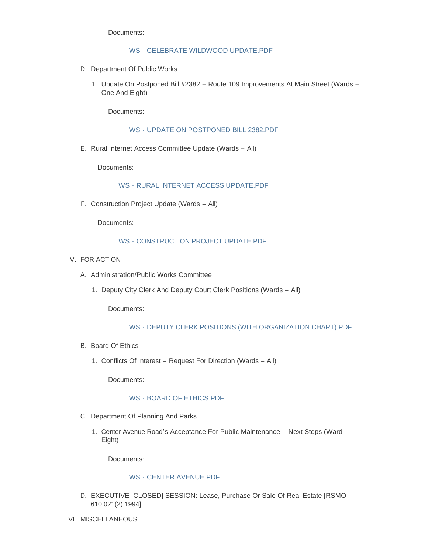Documents:

#### WS - [CELEBRATE WILDWOOD UPDATE.PDF](https://www.cityofwildwood.com/AgendaCenter/ViewFile/Item/16632?fileID=24112)

- D. Department Of Public Works
	- 1. Update On Postponed Bill #2382 Route 109 Improvements At Main Street (Wards -One And Eight)

Documents:

WS - [UPDATE ON POSTPONED BILL 2382.PDF](https://www.cityofwildwood.com/AgendaCenter/ViewFile/Item/16635?fileID=24122)

E. Rural Internet Access Committee Update (Wards - All)

Documents:

WS - [RURAL INTERNET ACCESS UPDATE.PDF](https://www.cityofwildwood.com/AgendaCenter/ViewFile/Item/16612?fileID=24102)

F. Construction Project Update (Wards - All)

Documents:

## WS - [CONSTRUCTION PROJECT UPDATE.PDF](https://www.cityofwildwood.com/AgendaCenter/ViewFile/Item/16613?fileID=24103)

- V. FOR ACTION
	- A. Administration/Public Works Committee
		- 1. Deputy City Clerk And Deputy Court Clerk Positions (Wards All)

Documents:

## WS - [DEPUTY CLERK POSITIONS \(WITH ORGANIZATION CHART\).PDF](https://www.cityofwildwood.com/AgendaCenter/ViewFile/Item/17115?fileID=24369)

- B. Board Of Ethics
	- 1. Conflicts Of Interest Request For Direction (Wards All)

Documents:

#### WS - BOARD OF FTHICS PDF

- C. Department Of Planning And Parks
	- 1. Center Avenue Road's Acceptance For Public Maintenance Next Steps (Ward -Eight)

Documents:

# WS - [CENTER AVENUE.PDF](https://www.cityofwildwood.com/AgendaCenter/ViewFile/Item/16631?fileID=24111)

- EXECUTIVE [CLOSED] SESSION: Lease, Purchase Or Sale Of Real Estate [RSMO D. 610.021(2) 1994]
- VI. MISCELLANEOUS